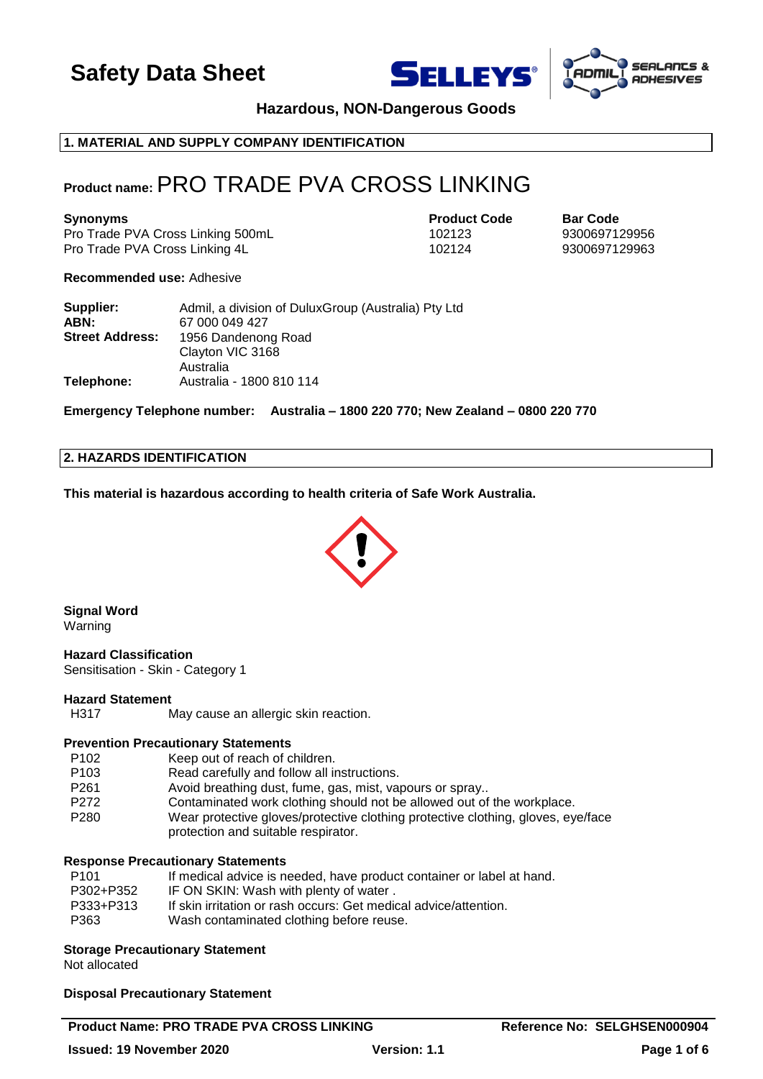





**Hazardous, NON-Dangerous Goods**

## **1. MATERIAL AND SUPPLY COMPANY IDENTIFICATION**

## **Product name:**PRO TRADE PVA CROSS LINKING

**Synonyms Product Code Bar Code** Pro Trade PVA Cross Linking 500mL 102123 9300697129956 Pro Trade PVA Cross Linking 4L 102124 9300697129963

**Recommended use:** Adhesive

| Supplier:              | Admil, a division of DuluxGroup (Australia) Pty Ltd |  |
|------------------------|-----------------------------------------------------|--|
| ABN:                   | 67 000 049 427                                      |  |
| <b>Street Address:</b> | 1956 Dandenong Road                                 |  |
|                        | Clayton VIC 3168                                    |  |
|                        | Australia                                           |  |
| Telephone:             | Australia - 1800 810 114                            |  |

**Emergency Telephone number: Australia – 1800 220 770; New Zealand – 0800 220 770**

### **2. HAZARDS IDENTIFICATION**

**This material is hazardous according to health criteria of Safe Work Australia.**



**Signal Word** Warning

## **Hazard Classification**

Sensitisation - Skin - Category 1

## **Hazard Statement**

H317 May cause an allergic skin reaction.

#### **Prevention Precautionary Statements**

| P <sub>102</sub> | Keep out of reach of children.                                                                                          |
|------------------|-------------------------------------------------------------------------------------------------------------------------|
| P <sub>103</sub> | Read carefully and follow all instructions.                                                                             |
| P <sub>261</sub> | Avoid breathing dust, fume, gas, mist, vapours or spray                                                                 |
| P <sub>272</sub> | Contaminated work clothing should not be allowed out of the workplace.                                                  |
| P <sub>280</sub> | Wear protective gloves/protective clothing protective clothing, gloves, eye/face<br>protection and suitable respirator. |

### **Response Precautionary Statements**

| P <sub>101</sub> | If medical advice is needed, have product container or label at hand. |
|------------------|-----------------------------------------------------------------------|
| P302+P352        | IF ON SKIN: Wash with plenty of water.                                |
| P333+P313        | If skin irritation or rash occurs: Get medical advice/attention.      |
| P363             | Wash contaminated clothing before reuse.                              |
|                  |                                                                       |

#### **Storage Precautionary Statement**

Not allocated

#### **Disposal Precautionary Statement**

#### **Product Name: PRO TRADE PVA CROSS LINKING THE Reference No: SELGHSEN000904**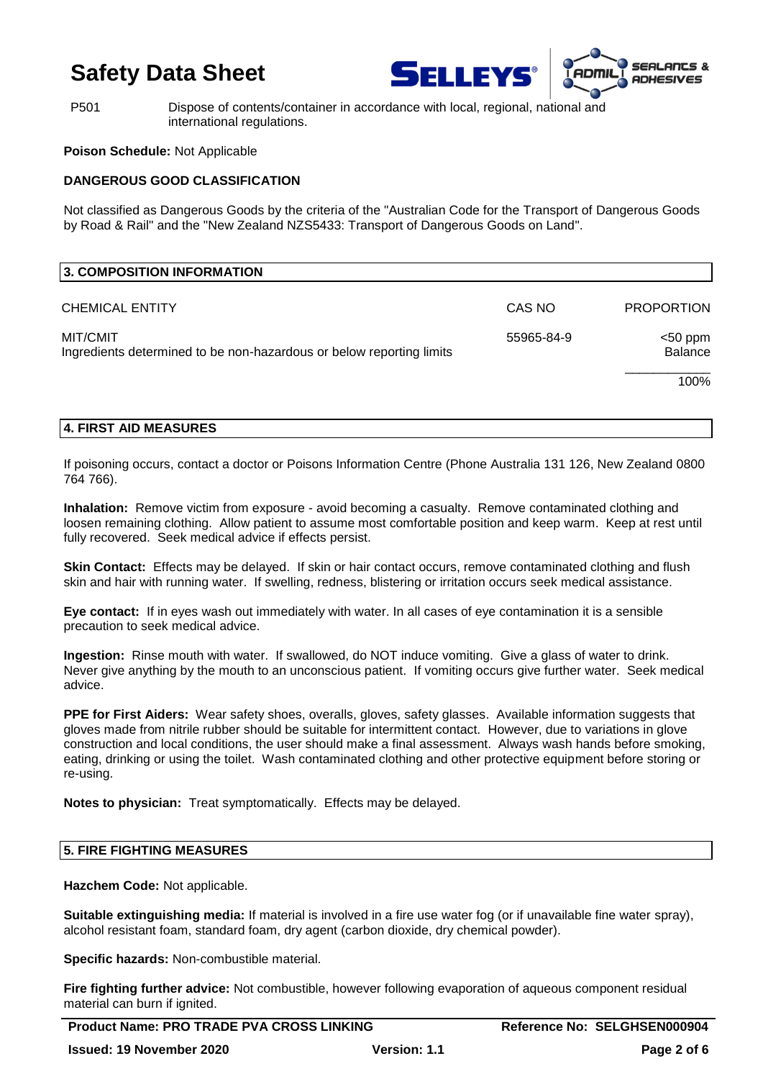



P501 Dispose of contents/container in accordance with local, regional, national and international regulations.

## **Poison Schedule:** Not Applicable

## **DANGEROUS GOOD CLASSIFICATION**

Not classified as Dangerous Goods by the criteria of the "Australian Code for the Transport of Dangerous Goods by Road & Rail" and the "New Zealand NZS5433: Transport of Dangerous Goods on Land".

| <b>3. COMPOSITION INFORMATION</b>                                                |            |                              |
|----------------------------------------------------------------------------------|------------|------------------------------|
| <b>CHEMICAL ENTITY</b>                                                           | CAS NO     | <b>PROPORTION</b>            |
| MIT/CMIT<br>Ingredients determined to be non-hazardous or below reporting limits | 55965-84-9 | $<$ 50 ppm<br><b>Balance</b> |
|                                                                                  |            | 100%                         |

## **4. FIRST AID MEASURES**

If poisoning occurs, contact a doctor or Poisons Information Centre (Phone Australia 131 126, New Zealand 0800 764 766).

**Inhalation:** Remove victim from exposure - avoid becoming a casualty. Remove contaminated clothing and loosen remaining clothing. Allow patient to assume most comfortable position and keep warm. Keep at rest until fully recovered. Seek medical advice if effects persist.

**Skin Contact:** Effects may be delayed. If skin or hair contact occurs, remove contaminated clothing and flush skin and hair with running water. If swelling, redness, blistering or irritation occurs seek medical assistance.

**Eye contact:** If in eyes wash out immediately with water. In all cases of eye contamination it is a sensible precaution to seek medical advice.

**Ingestion:** Rinse mouth with water. If swallowed, do NOT induce vomiting. Give a glass of water to drink. Never give anything by the mouth to an unconscious patient. If vomiting occurs give further water. Seek medical advice.

**PPE for First Aiders:** Wear safety shoes, overalls, gloves, safety glasses. Available information suggests that gloves made from nitrile rubber should be suitable for intermittent contact. However, due to variations in glove construction and local conditions, the user should make a final assessment. Always wash hands before smoking, eating, drinking or using the toilet. Wash contaminated clothing and other protective equipment before storing or re-using.

**Notes to physician:** Treat symptomatically. Effects may be delayed.

## **5. FIRE FIGHTING MEASURES**

**Hazchem Code:** Not applicable.

**Suitable extinguishing media:** If material is involved in a fire use water fog (or if unavailable fine water spray), alcohol resistant foam, standard foam, dry agent (carbon dioxide, dry chemical powder).

**Specific hazards:** Non-combustible material.

**Fire fighting further advice:** Not combustible, however following evaporation of aqueous component residual material can burn if ignited.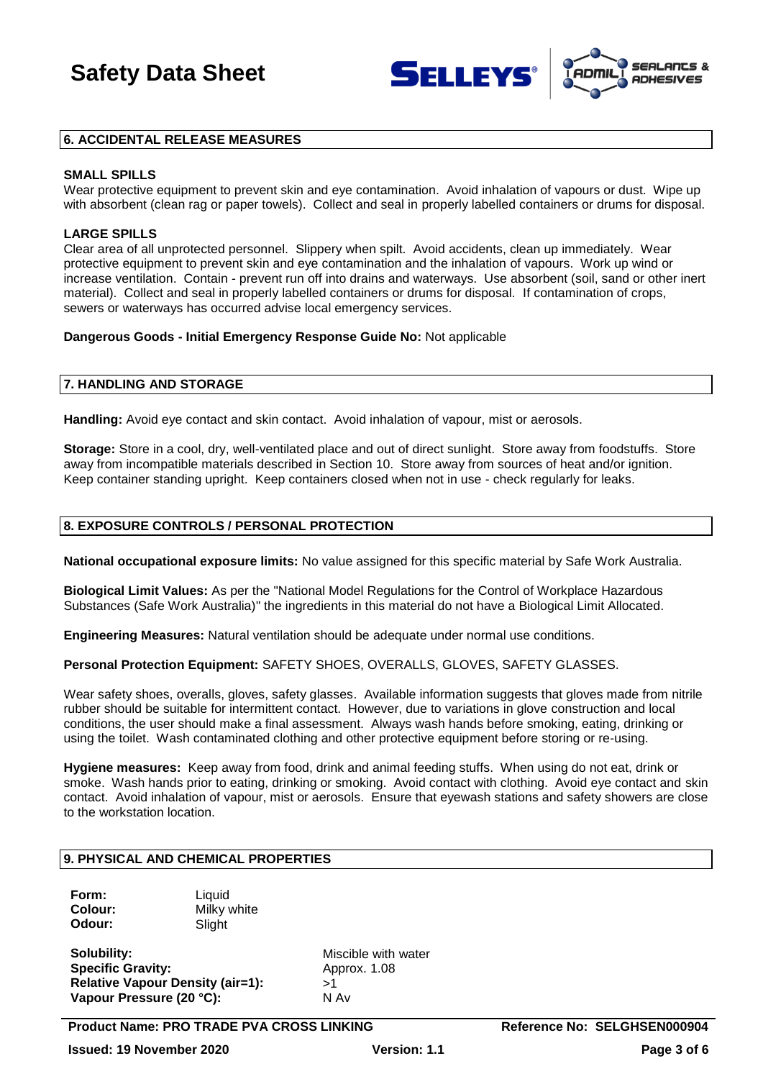



### **6. ACCIDENTAL RELEASE MEASURES**

#### **SMALL SPILLS**

Wear protective equipment to prevent skin and eye contamination. Avoid inhalation of vapours or dust. Wipe up with absorbent (clean rag or paper towels). Collect and seal in properly labelled containers or drums for disposal.

### **LARGE SPILLS**

Clear area of all unprotected personnel. Slippery when spilt. Avoid accidents, clean up immediately. Wear protective equipment to prevent skin and eye contamination and the inhalation of vapours. Work up wind or increase ventilation. Contain - prevent run off into drains and waterways. Use absorbent (soil, sand or other inert material). Collect and seal in properly labelled containers or drums for disposal. If contamination of crops, sewers or waterways has occurred advise local emergency services.

#### **Dangerous Goods - Initial Emergency Response Guide No:** Not applicable

#### **7. HANDLING AND STORAGE**

**Handling:** Avoid eye contact and skin contact. Avoid inhalation of vapour, mist or aerosols.

**Storage:** Store in a cool, dry, well-ventilated place and out of direct sunlight. Store away from foodstuffs. Store away from incompatible materials described in Section 10. Store away from sources of heat and/or ignition. Keep container standing upright. Keep containers closed when not in use - check regularly for leaks.

## **8. EXPOSURE CONTROLS / PERSONAL PROTECTION**

**National occupational exposure limits:** No value assigned for this specific material by Safe Work Australia.

**Biological Limit Values:** As per the "National Model Regulations for the Control of Workplace Hazardous Substances (Safe Work Australia)" the ingredients in this material do not have a Biological Limit Allocated.

**Engineering Measures:** Natural ventilation should be adequate under normal use conditions.

**Personal Protection Equipment:** SAFETY SHOES, OVERALLS, GLOVES, SAFETY GLASSES.

Wear safety shoes, overalls, gloves, safety glasses. Available information suggests that gloves made from nitrile rubber should be suitable for intermittent contact. However, due to variations in glove construction and local conditions, the user should make a final assessment. Always wash hands before smoking, eating, drinking or using the toilet. Wash contaminated clothing and other protective equipment before storing or re-using.

**Hygiene measures:** Keep away from food, drink and animal feeding stuffs. When using do not eat, drink or smoke. Wash hands prior to eating, drinking or smoking. Avoid contact with clothing. Avoid eye contact and skin contact. Avoid inhalation of vapour, mist or aerosols. Ensure that eyewash stations and safety showers are close to the workstation location.

## **9. PHYSICAL AND CHEMICAL PROPERTIES**

**Form:** Liquid **Colour:** Milky white **Odour:** Slight

**Solubility:** Miscible with water **Specific Gravity:** Approx. 1.08 **Relative Vapour Density (air=1):** >1 **Vapour Pressure (20 °C):** N Av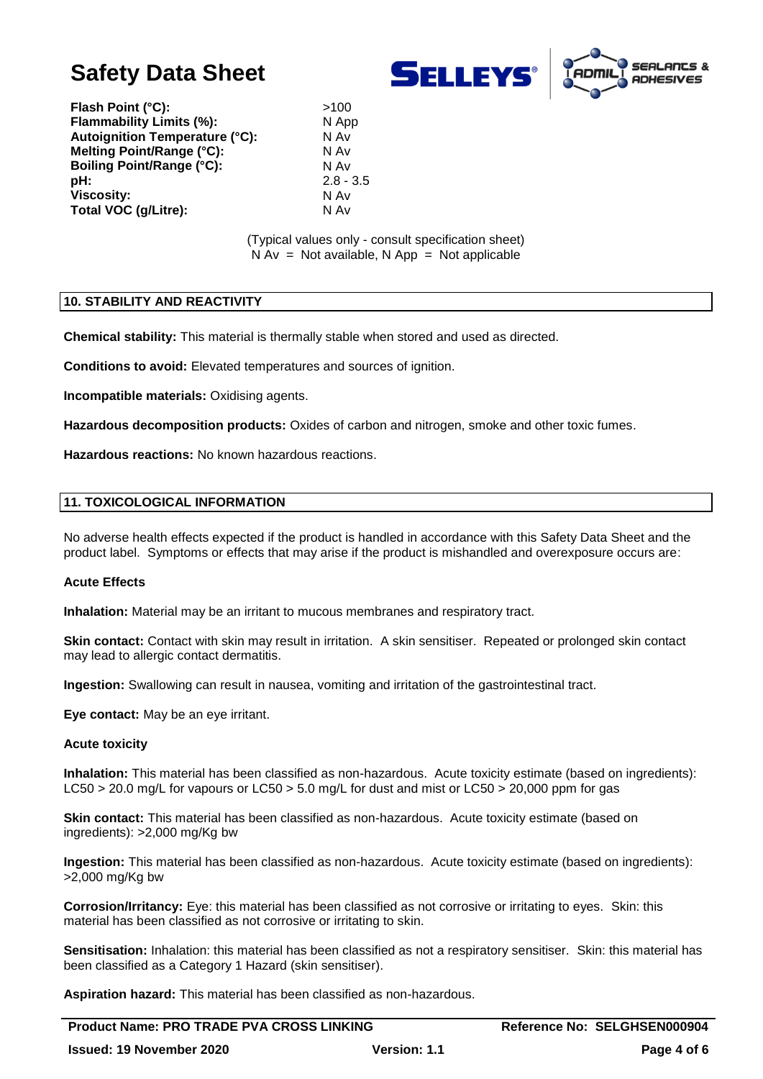



**Flash Point (°C):**  $>100$ **Flammability Limits (%):** N App **Autoignition Temperature (°C):** N Av **Melting Point/Range (°C):** N Av **Boiling Point/Range (°C):** N Av<br> **pH:** 2.8 -**Viscosity:** N Av **Total VOC (g/Litre):** N Av

**pH:** 2.8 - 3.5

(Typical values only - consult specification sheet)  $N Av = Not available, N App = Not applicable$ 

### **10. STABILITY AND REACTIVITY**

**Chemical stability:** This material is thermally stable when stored and used as directed.

**Conditions to avoid:** Elevated temperatures and sources of ignition.

**Incompatible materials:** Oxidising agents.

**Hazardous decomposition products:** Oxides of carbon and nitrogen, smoke and other toxic fumes.

**Hazardous reactions:** No known hazardous reactions.

## **11. TOXICOLOGICAL INFORMATION**

No adverse health effects expected if the product is handled in accordance with this Safety Data Sheet and the product label. Symptoms or effects that may arise if the product is mishandled and overexposure occurs are:

#### **Acute Effects**

**Inhalation:** Material may be an irritant to mucous membranes and respiratory tract.

**Skin contact:** Contact with skin may result in irritation. A skin sensitiser. Repeated or prolonged skin contact may lead to allergic contact dermatitis.

**Ingestion:** Swallowing can result in nausea, vomiting and irritation of the gastrointestinal tract.

**Eye contact:** May be an eye irritant.

#### **Acute toxicity**

**Inhalation:** This material has been classified as non-hazardous. Acute toxicity estimate (based on ingredients): LC50 > 20.0 mg/L for vapours or LC50 > 5.0 mg/L for dust and mist or LC50 > 20,000 ppm for gas

**Skin contact:** This material has been classified as non-hazardous. Acute toxicity estimate (based on ingredients): >2,000 mg/Kg bw

**Ingestion:** This material has been classified as non-hazardous. Acute toxicity estimate (based on ingredients): >2,000 mg/Kg bw

**Corrosion/Irritancy:** Eye: this material has been classified as not corrosive or irritating to eyes. Skin: this material has been classified as not corrosive or irritating to skin.

**Sensitisation:** Inhalation: this material has been classified as not a respiratory sensitiser. Skin: this material has been classified as a Category 1 Hazard (skin sensitiser).

**Aspiration hazard:** This material has been classified as non-hazardous.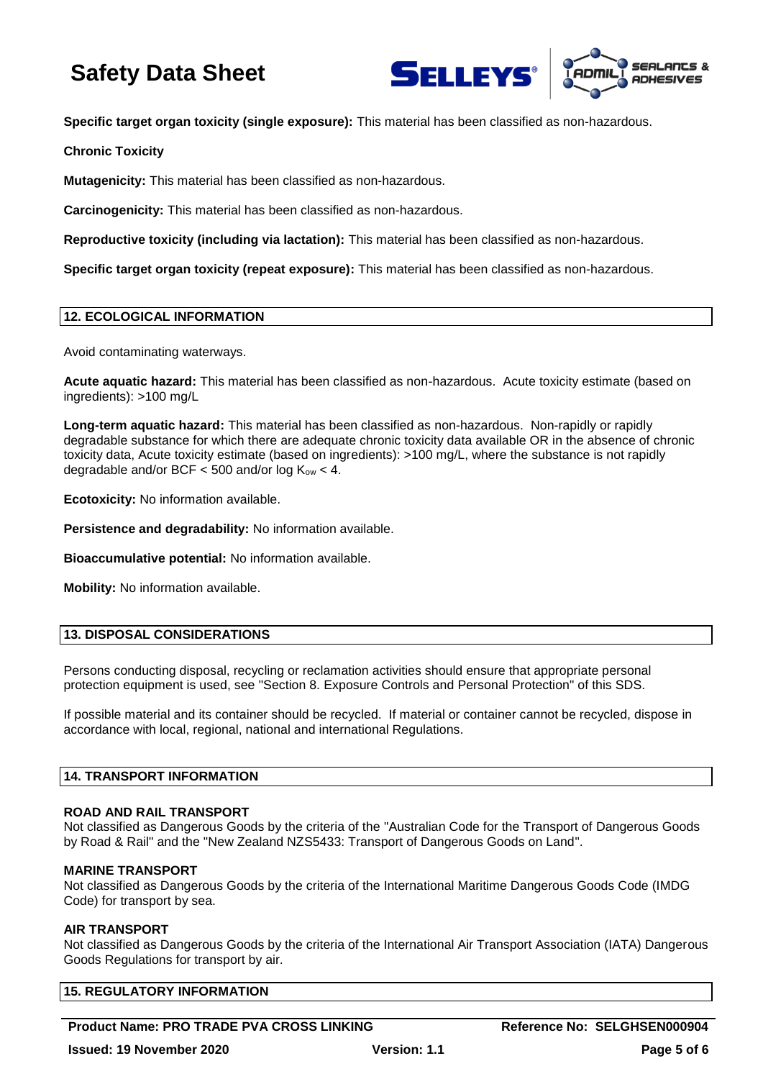



**Specific target organ toxicity (single exposure):** This material has been classified as non-hazardous.

**Chronic Toxicity**

**Mutagenicity:** This material has been classified as non-hazardous.

**Carcinogenicity:** This material has been classified as non-hazardous.

**Reproductive toxicity (including via lactation):** This material has been classified as non-hazardous.

**Specific target organ toxicity (repeat exposure):** This material has been classified as non-hazardous.

### **12. ECOLOGICAL INFORMATION**

Avoid contaminating waterways.

**Acute aquatic hazard:** This material has been classified as non-hazardous. Acute toxicity estimate (based on ingredients): >100 mg/L

**Long-term aquatic hazard:** This material has been classified as non-hazardous. Non-rapidly or rapidly degradable substance for which there are adequate chronic toxicity data available OR in the absence of chronic toxicity data, Acute toxicity estimate (based on ingredients): >100 mg/L, where the substance is not rapidly degradable and/or BCF  $<$  500 and/or log  $K_{ow}$   $<$  4.

**Ecotoxicity:** No information available.

**Persistence and degradability:** No information available.

**Bioaccumulative potential:** No information available.

**Mobility:** No information available.

## **13. DISPOSAL CONSIDERATIONS**

Persons conducting disposal, recycling or reclamation activities should ensure that appropriate personal protection equipment is used, see "Section 8. Exposure Controls and Personal Protection" of this SDS.

If possible material and its container should be recycled. If material or container cannot be recycled, dispose in accordance with local, regional, national and international Regulations.

#### **14. TRANSPORT INFORMATION**

#### **ROAD AND RAIL TRANSPORT**

Not classified as Dangerous Goods by the criteria of the "Australian Code for the Transport of Dangerous Goods by Road & Rail" and the "New Zealand NZS5433: Transport of Dangerous Goods on Land".

#### **MARINE TRANSPORT**

Not classified as Dangerous Goods by the criteria of the International Maritime Dangerous Goods Code (IMDG Code) for transport by sea.

#### **AIR TRANSPORT**

Not classified as Dangerous Goods by the criteria of the International Air Transport Association (IATA) Dangerous Goods Regulations for transport by air.

## **15. REGULATORY INFORMATION**

## **Product Name: PRO TRADE PVA CROSS LINKING THE REFERENCE REFERENCE REFERENCE REFERENCE PROTEING**